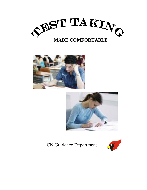





CN Guidance Department

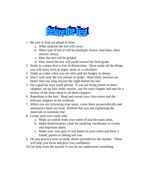

- 1. Be sure to find out ahead of time:
	- a. What material the test will cover.
	- b. What type of test it will be (multiple choice, true/false, short answer, essay)
	- c. How the test will be graded.
	- d. How much the test will count toward the final grade.
- 2. Study in a place that is free of distractions. Have ready all the things you will need, such as paper, pens, or a calculator.
- 3. Study at a time when you are alert and not hungry or sleepy.
- 4. Don't wait until the last minute to study! Short daily sessions are better than one long session the night before the test.
- 5. Set a goal for each study period. If you are being tested on three chapters, set up four study session, one for each chapter and one for a review of the main ideas in all three chapters.
- 6. Repetition is the key! Read and reread your class notes and the relevant chapters in the textbook.
- 7. While you are reviewing your notes, cover them up periodically and summarize them out loud. Pretend that you are explaining the materials to someone else.
- 8. Create your own study aids.
	- a. Make an outline from your notes of just the main ideas.
	- b. Make flash/memory cards for studying vocabulary or events and important dates.
	- c. Make your own quiz or test based on your notes and have a friend, parent or sibling test you.
- 9. Do any practice tests or study sheets provided by the teacher. These will help you focus and give you confidence.
- 10.Get help from the teacher if you do not understand something.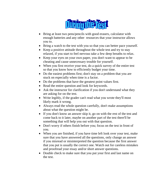

- Bring at least two pens/pencils with good erasers, calculator with enough batteries and any other resources that your instructor allows you to.
- Bring a watch to the test with you so that you can better pace yourself.
- Keep a positive attitude throughout the whole test and try to stay relaxed, if you start to feel nervous take a few deep breaths to relax.
- Keep your eyes on your own paper, you don't want to appear to be cheating and cause unnecessary trouble for yourself.
- When you first receive your test, do a quick survey of the entire test so that you know how to efficiently budget your time.
- Do the easiest problems first; don't stay on a problem that you are stuck on especially when time is a factor.
- Do the problems that have the greatest point values first.
- Read the entire question and look for keywords.
- Ask the instructor for clarification if you don't understand what they are asking for on the test.
- Write legibly, if the grader can't read what you wrote they'll most likely mark it wrong.
- Always read the whole question carefully, don't make assumptions about what the question might be.
- If you don't know an answer skip it, go on with the rest of the test and come back to it later, maybe on another part of the test there'll be something that will help you out with that question.
- Don't worry if others finish before you; focus on the test in front of you.
- When you are finished, if you have time left look over your test, make sure that you have answered all the questions, only change an answer if you misread or misinterpreted the question because the first answer that you put is usually the correct one. Watch out for careless mistakes and proofread your essay and/or short answer questions.
- Double check to make sure that you put your first and last name on the test.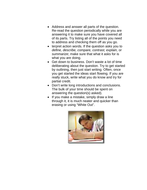- Address and answer all parts of the question. Re-read the question periodically while you are answering it to make sure you have covered all of its parts. Try listing all of the points you need to address and checking them off as you go.
- terpret action words. If the question asks you to *define, describe, compare, contrast, explain,* or *summarize*; make sure that what it asks for is what you are doing.
- Get down to business. Don't waste a lot of time deliberating about the question. Try to get started by outlining, then just start writing. Often, once you get started the ideas start flowing. If you are really stuck, write what you do know and try for partial credit.
- Don't write long introductions and conclusions. The bulk of your time should be spent on answering the question(s) asked).
- If you make a mistake, simply draw a line through it, it is much neater and quicker than erasing or using "White Out".

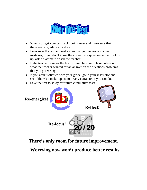

- When you get your test back look it over and make sure that there are no grading mistakes.
- Look over the test and make sure that you understand your mistakes, if you don't know the answer to a question, either look it up, ask a classmate or ask the teacher.
- If the teacher reviews the test in class, be sure to take notes on what the teacher wanted for an answer on the questions/problems that you got wrong..
- If you aren't satisfied with your grade, go to your instructor and see if there's a make-up exam or any extra credit you can do.
- Save the test to study for future cumulative tests.



**There's only room for future improvement.** 

**Worrying now won't produce better results.**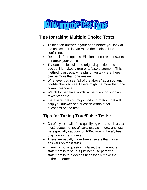

### **Tips for taking Multiple Choice Tests:**

- Think of an answer in your head before you look at the choices. This can make the choices less confusing.
- Read all of the options. Eliminate incorrect answers to narrow your choices.
- Try each option with the original question and decide if it makes a true or a false statement. This method is especially helpful on tests where there can be more than one answer.
- Whenever you see "all of the above" as an option, double check to see if there might be more than one correct response.
- Watch for negative words in the question such as "except" or "not."
- Be aware that you might find information that will help you answer one question within other questions on the test.

# **Tips for Taking True/False Tests:**

- Carefully read all of the qualifying words such as *all, most, some, never, always, usually, more,* and *less*. Be especially cautious of 100% words like *all, best, only, always,* and *never*.
- There are usually more true answers than false answers on most tests.
- If any part of a question is false, then the entire statement is false, but just because part of a statement is true doesn't necessarily make the entire statement true.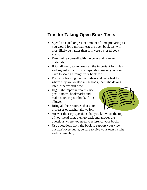### **Tips for Taking Open Book Tests**

- Spend an equal or greater amount of time preparing as you would for a normal test; the open book test will most likely be harder than if it were a closed book exam.
- Familiarize yourself with the book and relevant materials.
- If it's allowed, write down all the important formulas and key information on a separate sheet so you don't have to search through your book for it.
- Focus on learning the main ideas and get a feel for where they are located in the book, learn the details later if there's still time.
- Highlight important points, use post-it notes, bookmarks and make notes in your book, if it is allowed.
- 
- Bring all the resources that your professor or teacher allows for.
- Answer the easy questions that you know off the top of your head first, then go back and answer the questions where you need to reference your book.
- Use quotations from the book to support your view, but don't over-quote, be sure to give your own insight and commentary.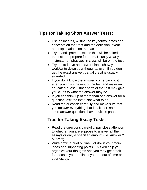#### **Tips for Taking Short Answer Tests:**

- Use flashcards, writing the key terms, dates and concepts on the front and the definition, event, and explanations on the back.
- Try to anticipate questions that will be asked on the test and prepare for them. Usually what your instructor emphasizes in class will be on the test.
- Try not to leave an answer blank, show your work/write down your thoughts, even if you don't get the exact answer, partial credit is usually awarded.
- If you don't know the answer, come back to it after you finish the rest of the test and make an educated guess. Other parts of the test may give you clues to what the answer may be.
- If you can think up of more than one answer for a question, ask the instructor what to do.
- Read the question carefully and make sure that you answer everything that it asks for; some short answer questions have multiple parts.

## **Tips for Taking Essay Tests**:

- Read the directions carefully; pay close attention to whether you are suppose to answer all the essays or only a specified amount (i.e. Answer 2 out of 3)
- Write down a brief outline. Jot down your main ideas and supporting points. This will help you organize your thoughts and you may get credit for ideas in your outline if you run out of time on your essay.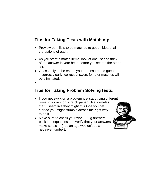## **Tips for Taking Tests with Matching:**

- Preview both lists to be matched to get an idea of all the options of each.
- As you start to match items, look at one list and think of the answer in your head before you search the other list.
- Guess only at the end. If you are unsure and guess incorrectly early, correct answers for later matches will be eliminated.

•

### **Tips for Taking Problem Solving tests:**

- If you get stuck on a problem just start trying different ways to solve it on scratch paper. Use formulas that seem like they might fit. Once you get started you might stumble across the right way to do it.
- Make sure to check your work. Plug answers back into equations and verify that your answers make sense (i.e., an age wouldn't be a negative number).

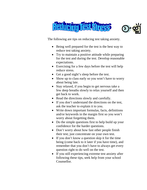



The following are tips on reducing test taking anxiety.

- Being well prepared for the test is the best way to reduce test taking anxiety.
- Try to maintain a positive attitude while preparing for the test and during the test. Develop reasonable expectations.
- Exercising for a few days before the test will help reduce stress.
- Get a good night's sleep before the test.
- Show up to class early so you won't have to worry about being late.
- Stay relaxed, if you begin to get nervous take a few deep breaths slowly to relax yourself and then get back to work.
- Read the directions slowly and carefully.
- If you don't understand the directions on the test, ask the teacher to explain it to you.
- Write down important formulas, facts, definitions and/or keywords in the margin first so you won't worry about forgetting them.
- Do the simple questions first to help build up your confidence for the harder questions.
- Don't worry about how fast other people finish their test; just concentrate on your own test.
- If you don't know a question skip it for the time being (come back to it later if you have time), and remember that you don't have to always get every question right to do well on the test.
- If you still experiencing extreme test anxiety after following these tips, seek help from your school Counsellor.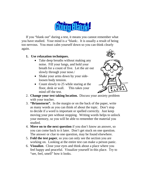If you "blank out" during a test, it means you cannot remember what you have studied. Your mind is a "blank:. It is usually a result of being too nervous. You must calm yourself down so you can think clearly again.

#### **1. Use relaxation techniques.**

- Take deep breaths without making any noise. Fill your lungs, and hold your breath for a count of five. Let the air out slowly through your nose./
- Shake your arms down by your sideloosen body tension.
- Count slowly to 25 while staring at the floor, desk or wall. This takes your mind off the test.



- 2. **Change your test taking location.** Discuss your anxiety problem with your teacher.
- 3. **"Brianstorm".** In the margin or on the back of the paper, write as many words as you can think of about the topic. Don't stop to decide if a word is important or spelled correctly. Just keep moving your pen without stopping. Writing words helps to unlock your memory, so you will be able to remember the material you studied.
- 4. **Move on to the next question** if you don't know an answer, so you can come back to it later. Don't get stuck on one question. The answer or clue to one question, may be found elsewhere.
- 5. **Fold the test paper**, so you can only see the section you are working on. Looking at the entire test can make a person panic.
- 6. **Visualize.** Close your eyes and think about a place where you feel happy and peaceful. Visualize yourself in this place. Try to "see, feel, smell" how it looks.